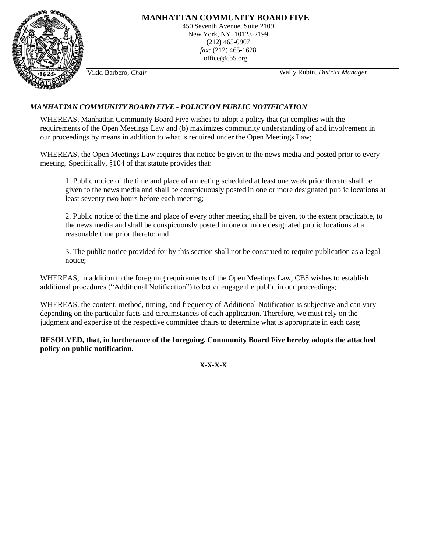

Vikki Barbero, *Chair* Wally Rubin*, District Manager*

# *MANHATTAN COMMUNITY BOARD FIVE - POLICY ON PUBLIC NOTIFICATION*

WHEREAS, Manhattan Community Board Five wishes to adopt a policy that (a) complies with the requirements of the Open Meetings Law and (b) maximizes community understanding of and involvement in our proceedings by means in addition to what is required under the Open Meetings Law;

WHEREAS, the Open Meetings Law requires that notice be given to the news media and posted prior to every meeting. Specifically, §104 of that statute provides that:

1. Public notice of the time and place of a meeting scheduled at least one week prior thereto shall be given to the news media and shall be conspicuously posted in one or more designated public locations at least seventy-two hours before each meeting;

2. Public notice of the time and place of every other meeting shall be given, to the extent practicable, to the news media and shall be conspicuously posted in one or more designated public locations at a reasonable time prior thereto; and

3. The public notice provided for by this section shall not be construed to require publication as a legal notice;

WHEREAS, in addition to the foregoing requirements of the Open Meetings Law, CB5 wishes to establish additional procedures ("Additional Notification") to better engage the public in our proceedings;

WHEREAS, the content, method, timing, and frequency of Additional Notification is subjective and can vary depending on the particular facts and circumstances of each application. Therefore, we must rely on the judgment and expertise of the respective committee chairs to determine what is appropriate in each case;

**RESOLVED, that, in furtherance of the foregoing, Community Board Five hereby adopts the attached policy on public notification.**

**X-X-X-X**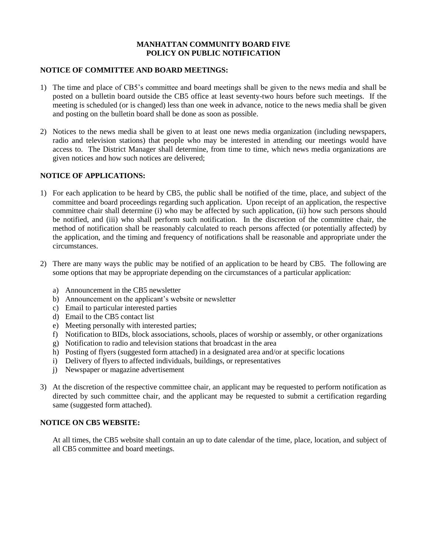#### **MANHATTAN COMMUNITY BOARD FIVE POLICY ON PUBLIC NOTIFICATION**

#### **NOTICE OF COMMITTEE AND BOARD MEETINGS:**

- 1) The time and place of CB5's committee and board meetings shall be given to the news media and shall be posted on a bulletin board outside the CB5 office at least seventy-two hours before such meetings. If the meeting is scheduled (or is changed) less than one week in advance, notice to the news media shall be given and posting on the bulletin board shall be done as soon as possible.
- 2) Notices to the news media shall be given to at least one news media organization (including newspapers, radio and television stations) that people who may be interested in attending our meetings would have access to. The District Manager shall determine, from time to time, which news media organizations are given notices and how such notices are delivered;

#### **NOTICE OF APPLICATIONS:**

- 1) For each application to be heard by CB5, the public shall be notified of the time, place, and subject of the committee and board proceedings regarding such application. Upon receipt of an application, the respective committee chair shall determine (i) who may be affected by such application, (ii) how such persons should be notified, and (iii) who shall perform such notification. In the discretion of the committee chair, the method of notification shall be reasonably calculated to reach persons affected (or potentially affected) by the application, and the timing and frequency of notifications shall be reasonable and appropriate under the circumstances.
- 2) There are many ways the public may be notified of an application to be heard by CB5. The following are some options that may be appropriate depending on the circumstances of a particular application:
	- a) Announcement in the CB5 newsletter
	- b) Announcement on the applicant's website or newsletter
	- c) Email to particular interested parties
	- d) Email to the CB5 contact list
	- e) Meeting personally with interested parties;
	- f) Notification to BIDs, block associations, schools, places of worship or assembly, or other organizations
	- g) Notification to radio and television stations that broadcast in the area
	- h) Posting of flyers (suggested form attached) in a designated area and/or at specific locations
	- i) Delivery of flyers to affected individuals, buildings, or representatives
	- j) Newspaper or magazine advertisement
- 3) At the discretion of the respective committee chair, an applicant may be requested to perform notification as directed by such committee chair, and the applicant may be requested to submit a certification regarding same (suggested form attached).

#### **NOTICE ON CB5 WEBSITE:**

At all times, the CB5 website shall contain an up to date calendar of the time, place, location, and subject of all CB5 committee and board meetings.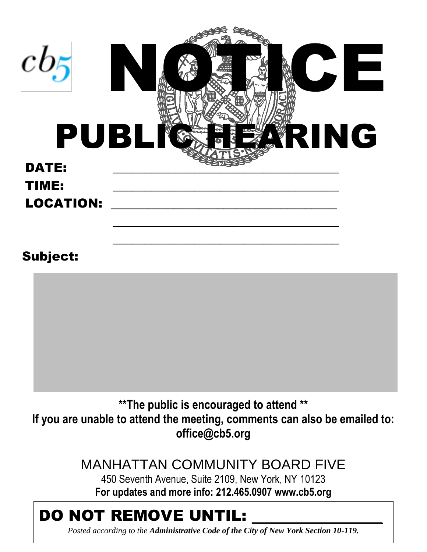| $cb_5$<br><b>PUBL</b> | Е<br>$\overline{\smash[b]{\mathbf{u}}}\hspace{-0.5pt}=\hspace{-0.5pt}\overline{\hspace{-0.5pt}\mathbf{b}}\hspace{-0.5pt}$<br>N<br>ING<br>RI |
|-----------------------|---------------------------------------------------------------------------------------------------------------------------------------------|
| <b>DATE:</b>          |                                                                                                                                             |
| TIME:                 |                                                                                                                                             |
| <b>LOCATION:</b>      |                                                                                                                                             |
| <b>Subject:</b>       |                                                                                                                                             |
|                       |                                                                                                                                             |
|                       |                                                                                                                                             |
|                       | ** The public is encouraged to attend **                                                                                                    |

**If you are unable to attend the meeting, comments can also be emailed to: office@cb5.org**

> MANHATTAN COMMUNITY BOARD FIVE 450 Seventh Avenue, Suite 2109, New York, NY 10123 **For updates and more info: 212.465.0907 www.cb5.org**

# DO NOT REMOVE UNTIL:

*Posted according to the Administrative Code of the City of New York Section 10-119.*